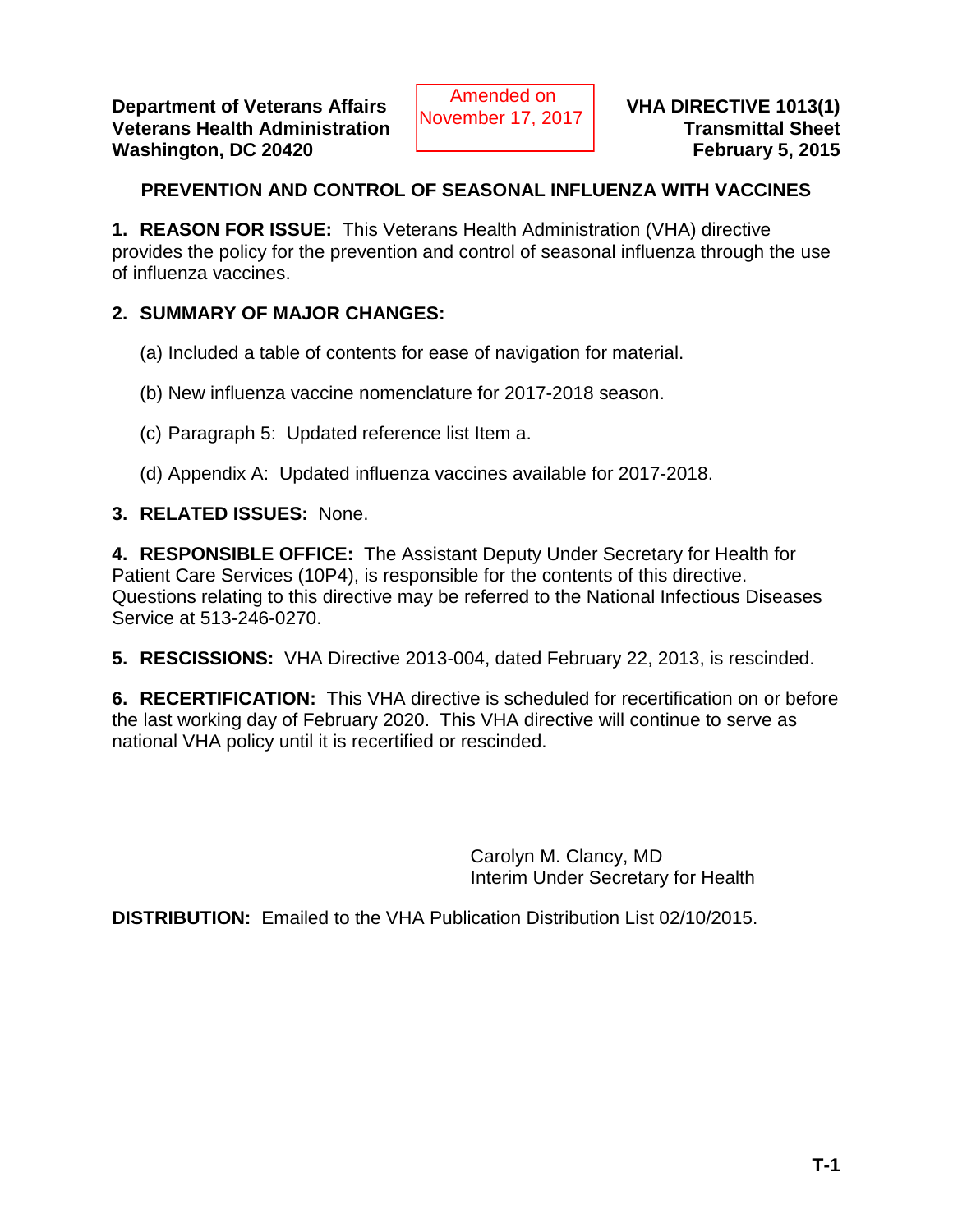# **PREVENTION AND CONTROL OF SEASONAL INFLUENZA WITH VACCINES**

**1. REASON FOR ISSUE:** This Veterans Health Administration (VHA) directive provides the policy for the prevention and control of seasonal influenza through the use of influenza vaccines.

# **2. SUMMARY OF MAJOR CHANGES:**

- (a) Included a table of contents for ease of navigation for material.
- (b) New influenza vaccine nomenclature for 2017-2018 season.
- (c) Paragraph 5: Updated reference list Item a.
- (d) Appendix A: Updated influenza vaccines available for 2017-2018.
- **3. RELATED ISSUES:** None.

**4. RESPONSIBLE OFFICE:** The Assistant Deputy Under Secretary for Health for Patient Care Services (10P4), is responsible for the contents of this directive. Questions relating to this directive may be referred to the National Infectious Diseases Service at 513-246-0270.

**5. RESCISSIONS:** VHA Directive 2013-004, dated February 22, 2013, is rescinded.

**6. RECERTIFICATION:** This VHA directive is scheduled for recertification on or before the last working day of February 2020. This VHA directive will continue to serve as national VHA policy until it is recertified or rescinded.

> Carolyn M. Clancy, MD Interim Under Secretary for Health

**DISTRIBUTION:** Emailed to the VHA Publication Distribution List 02/10/2015.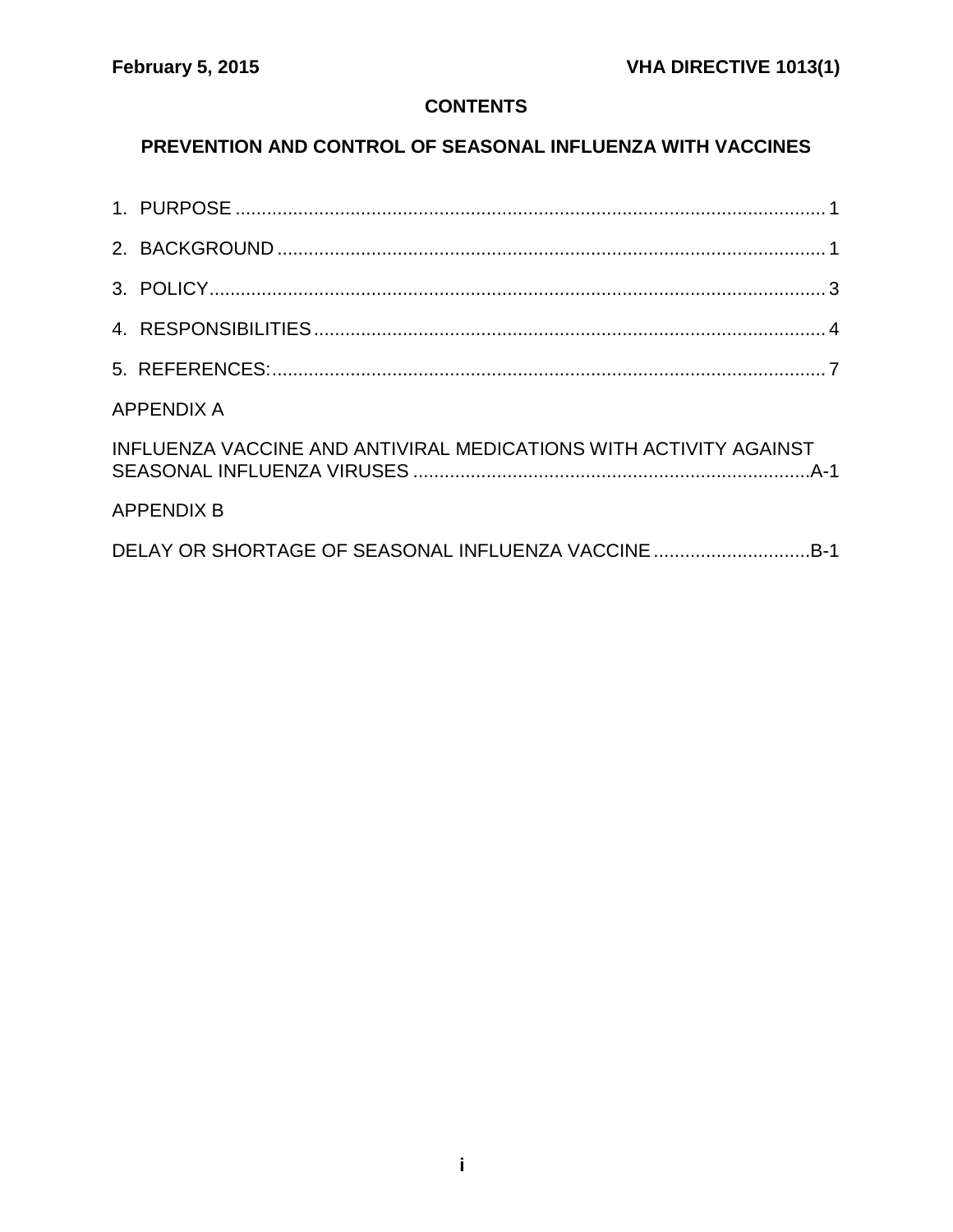# **CONTENTS**

# **PREVENTION AND CONTROL OF SEASONAL INFLUENZA WITH VACCINES**

| <b>APPENDIX A</b> |                                                                   |  |
|-------------------|-------------------------------------------------------------------|--|
|                   | INFLUENZA VACCINE AND ANTIVIRAL MEDICATIONS WITH ACTIVITY AGAINST |  |
|                   | <b>APPENDIX B</b>                                                 |  |
|                   |                                                                   |  |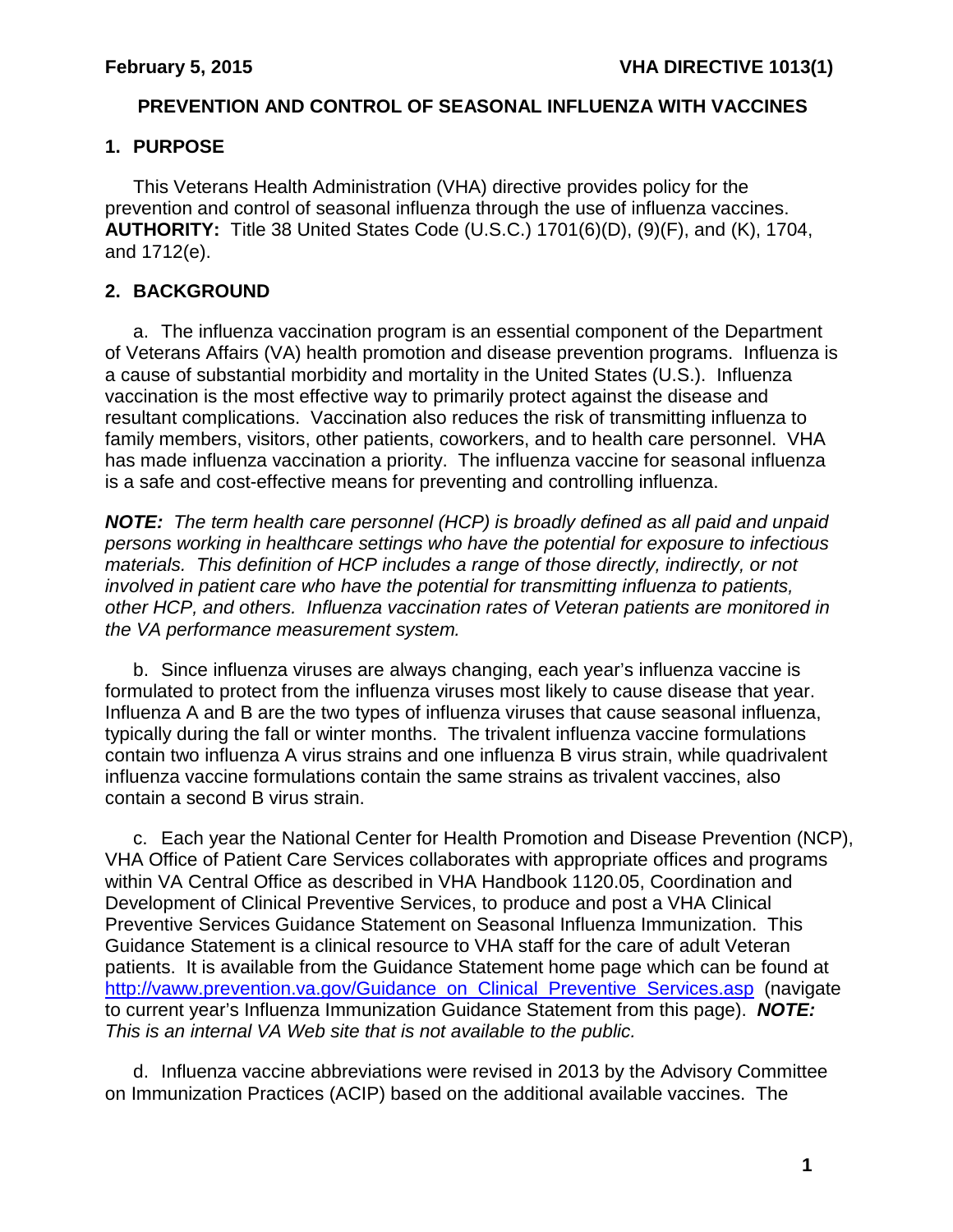### **PREVENTION AND CONTROL OF SEASONAL INFLUENZA WITH VACCINES**

# <span id="page-2-0"></span>**1. PURPOSE**

This Veterans Health Administration (VHA) directive provides policy for the prevention and control of seasonal influenza through the use of influenza vaccines. **AUTHORITY:** Title 38 United States Code (U.S.C.) 1701(6)(D), (9)(F), and (K), 1704, and 1712(e).

# <span id="page-2-1"></span>**2. BACKGROUND**

a. The influenza vaccination program is an essential component of the Department of Veterans Affairs (VA) health promotion and disease prevention programs. Influenza is a cause of substantial morbidity and mortality in the United States (U.S.). Influenza vaccination is the most effective way to primarily protect against the disease and resultant complications. Vaccination also reduces the risk of transmitting influenza to family members, visitors, other patients, coworkers, and to health care personnel. VHA has made influenza vaccination a priority. The influenza vaccine for seasonal influenza is a safe and cost-effective means for preventing and controlling influenza.

*NOTE: The term health care personnel (HCP) is broadly defined as all paid and unpaid persons working in healthcare settings who have the potential for exposure to infectious materials. This definition of HCP includes a range of those directly, indirectly, or not involved in patient care who have the potential for transmitting influenza to patients, other HCP, and others. Influenza vaccination rates of Veteran patients are monitored in the VA performance measurement system.* 

b. Since influenza viruses are always changing, each year's influenza vaccine is formulated to protect from the influenza viruses most likely to cause disease that year. Influenza A and B are the two types of influenza viruses that cause seasonal influenza, typically during the fall or winter months. The trivalent influenza vaccine formulations contain two influenza A virus strains and one influenza B virus strain, while quadrivalent influenza vaccine formulations contain the same strains as trivalent vaccines, also contain a second B virus strain.

c. Each year the National Center for Health Promotion and Disease Prevention (NCP), VHA Office of Patient Care Services collaborates with appropriate offices and programs within VA Central Office as described in VHA Handbook 1120.05, Coordination and Development of Clinical Preventive Services, to produce and post a VHA Clinical Preventive Services Guidance Statement on Seasonal Influenza Immunization. This Guidance Statement is a clinical resource to VHA staff for the care of adult Veteran patients. It is available from the Guidance Statement home page which can be found at http://vaww.prevention.va.gov/Guidance on Clinical Preventive Services.asp (navigate to current year's Influenza Immunization Guidance Statement from this page). *NOTE: This is an internal VA Web site that is not available to the public.*

d. Influenza vaccine abbreviations were revised in 2013 by the Advisory Committee on Immunization Practices (ACIP) based on the additional available vaccines. The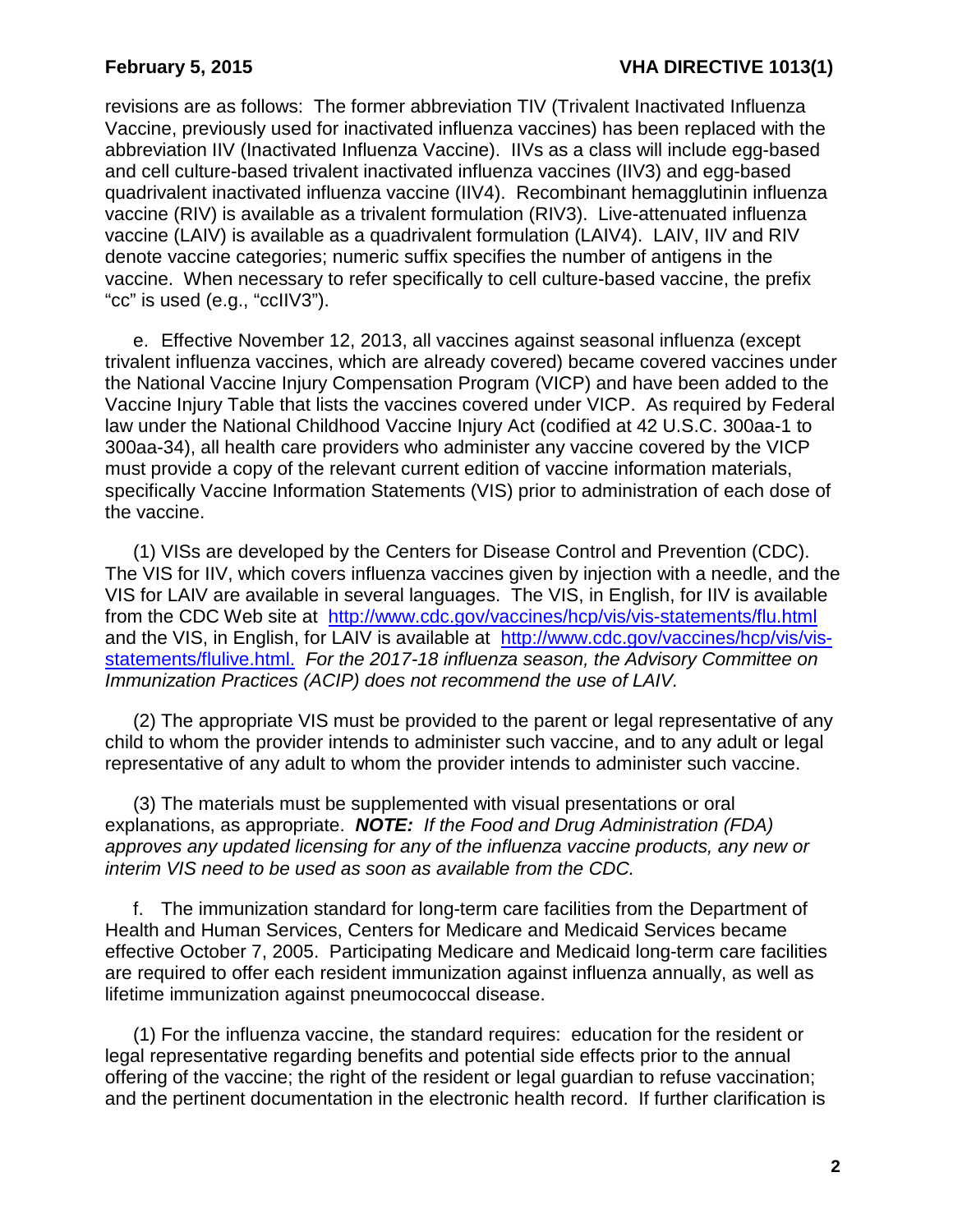revisions are as follows: The former abbreviation TIV (Trivalent Inactivated Influenza Vaccine, previously used for inactivated influenza vaccines) has been replaced with the abbreviation IIV (Inactivated Influenza Vaccine). IIVs as a class will include egg-based and cell culture-based trivalent inactivated influenza vaccines (IIV3) and egg-based quadrivalent inactivated influenza vaccine (IIV4). Recombinant hemagglutinin influenza vaccine (RIV) is available as a trivalent formulation (RIV3). Live-attenuated influenza vaccine (LAIV) is available as a quadrivalent formulation (LAIV4). LAIV, IIV and RIV denote vaccine categories; numeric suffix specifies the number of antigens in the vaccine. When necessary to refer specifically to cell culture-based vaccine, the prefix "cc" is used (e.g., "ccIIV3").

e. Effective November 12, 2013, all vaccines against seasonal influenza (except trivalent influenza vaccines, which are already covered) became covered vaccines under the National Vaccine Injury Compensation Program (VICP) and have been added to the Vaccine Injury Table that lists the vaccines covered under VICP. As required by Federal law under the National Childhood Vaccine Injury Act (codified at 42 U.S.C. 300aa-1 to 300aa-34), all health care providers who administer any vaccine covered by the VICP must provide a copy of the relevant current edition of vaccine information materials, specifically Vaccine Information Statements (VIS) prior to administration of each dose of the vaccine.

(1) VISs are developed by the Centers for Disease Control and Prevention (CDC). The VIS for IIV, which covers influenza vaccines given by injection with a needle, and the VIS for LAIV are available in several languages. The VIS, in English, for IIV is available from the CDC Web site at <http://www.cdc.gov/vaccines/hcp/vis/vis-statements/flu.html> and the VIS, in English, for LAIV is available at [http://www.cdc.gov/vaccines/hcp/vis/vis](http://www.cdc.gov/vaccines/hcp/vis/vis-statements/flulive.html)[statements/flulive.html.](http://www.cdc.gov/vaccines/hcp/vis/vis-statements/flulive.html) *For the 2017-18 influenza season, the Advisory Committee on Immunization Practices (ACIP) does not recommend the use of LAIV.*

(2) The appropriate VIS must be provided to the parent or legal representative of any child to whom the provider intends to administer such vaccine, and to any adult or legal representative of any adult to whom the provider intends to administer such vaccine.

(3) The materials must be supplemented with visual presentations or oral explanations, as appropriate. *NOTE: If the Food and Drug Administration (FDA) approves any updated licensing for any of the influenza vaccine products, any new or interim VIS need to be used as soon as available from the CDC.*

f. The immunization standard for long-term care facilities from the Department of Health and Human Services, Centers for Medicare and Medicaid Services became effective October 7, 2005. Participating Medicare and Medicaid long-term care facilities are required to offer each resident immunization against influenza annually, as well as lifetime immunization against pneumococcal disease.

(1) For the influenza vaccine, the standard requires: education for the resident or legal representative regarding benefits and potential side effects prior to the annual offering of the vaccine; the right of the resident or legal guardian to refuse vaccination; and the pertinent documentation in the electronic health record. If further clarification is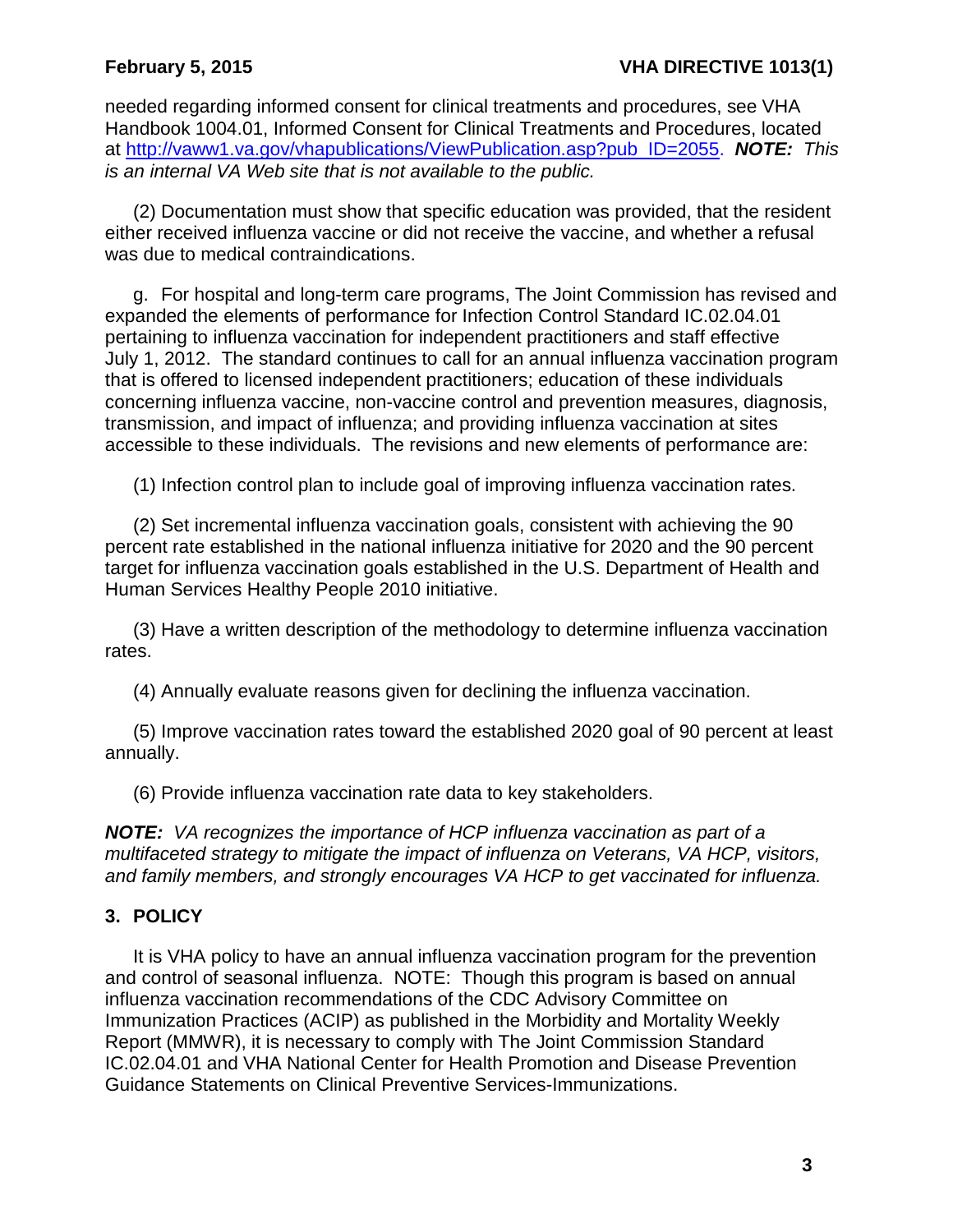needed regarding informed consent for clinical treatments and procedures, see VHA Handbook 1004.01, Informed Consent for Clinical Treatments and Procedures, located at [http://vaww1.va.gov/vhapublications/ViewPublication.asp?pub\\_ID=2055.](http://vaww1.va.gov/vhapublications/ViewPublication.asp?pub_ID=2055) *NOTE: This is an internal VA Web site that is not available to the public.*

(2) Documentation must show that specific education was provided, that the resident either received influenza vaccine or did not receive the vaccine, and whether a refusal was due to medical contraindications.

g. For hospital and long-term care programs, The Joint Commission has revised and expanded the elements of performance for Infection Control Standard IC.02.04.01 pertaining to influenza vaccination for independent practitioners and staff effective July 1, 2012. The standard continues to call for an annual influenza vaccination program that is offered to licensed independent practitioners; education of these individuals concerning influenza vaccine, non-vaccine control and prevention measures, diagnosis, transmission, and impact of influenza; and providing influenza vaccination at sites accessible to these individuals. The revisions and new elements of performance are:

(1) Infection control plan to include goal of improving influenza vaccination rates.

(2) Set incremental influenza vaccination goals, consistent with achieving the 90 percent rate established in the national influenza initiative for 2020 and the 90 percent target for influenza vaccination goals established in the U.S. Department of Health and Human Services Healthy People 2010 initiative.

(3) Have a written description of the methodology to determine influenza vaccination rates.

(4) Annually evaluate reasons given for declining the influenza vaccination.

(5) Improve vaccination rates toward the established 2020 goal of 90 percent at least annually.

(6) Provide influenza vaccination rate data to key stakeholders.

*NOTE: VA recognizes the importance of HCP influenza vaccination as part of a multifaceted strategy to mitigate the impact of influenza on Veterans, VA HCP, visitors, and family members, and strongly encourages VA HCP to get vaccinated for influenza.*

# <span id="page-4-0"></span>**3. POLICY**

It is VHA policy to have an annual influenza vaccination program for the prevention and control of seasonal influenza. NOTE: Though this program is based on annual influenza vaccination recommendations of the CDC Advisory Committee on Immunization Practices (ACIP) as published in the Morbidity and Mortality Weekly Report (MMWR), it is necessary to comply with The Joint Commission Standard IC.02.04.01 and VHA National Center for Health Promotion and Disease Prevention Guidance Statements on Clinical Preventive Services-Immunizations.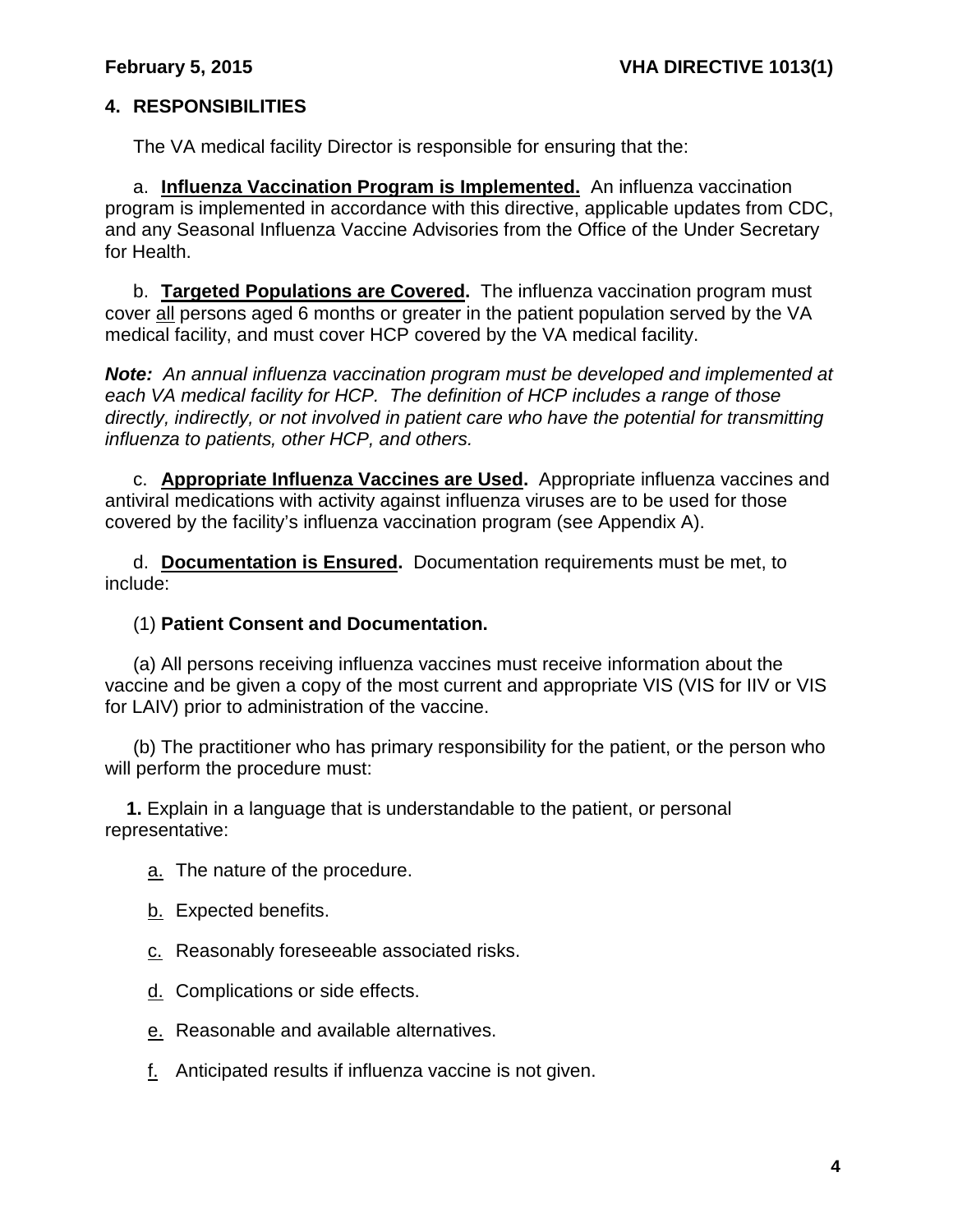# <span id="page-5-0"></span>**4. RESPONSIBILITIES**

The VA medical facility Director is responsible for ensuring that the:

a. **Influenza Vaccination Program is Implemented.** An influenza vaccination program is implemented in accordance with this directive, applicable updates from CDC, and any Seasonal Influenza Vaccine Advisories from the Office of the Under Secretary for Health.

b. **Targeted Populations are Covered.** The influenza vaccination program must cover all persons aged 6 months or greater in the patient population served by the VA medical facility, and must cover HCP covered by the VA medical facility.

*Note: An annual influenza vaccination program must be developed and implemented at each VA medical facility for HCP. The definition of HCP includes a range of those directly, indirectly, or not involved in patient care who have the potential for transmitting influenza to patients, other HCP, and others.*

c. **Appropriate Influenza Vaccines are Used.** Appropriate influenza vaccines and antiviral medications with activity against influenza viruses are to be used for those covered by the facility's influenza vaccination program (see Appendix A).

d. **Documentation is Ensured.** Documentation requirements must be met, to include:

## (1) **Patient Consent and Documentation.**

(a) All persons receiving influenza vaccines must receive information about the vaccine and be given a copy of the most current and appropriate VIS (VIS for IIV or VIS for LAIV) prior to administration of the vaccine.

(b) The practitioner who has primary responsibility for the patient, or the person who will perform the procedure must:

**1.** Explain in a language that is understandable to the patient, or personal representative:

a. The nature of the procedure.

- b. Expected benefits.
- c. Reasonably foreseeable associated risks.
- d. Complications or side effects.
- e. Reasonable and available alternatives.
- f. Anticipated results if influenza vaccine is not given.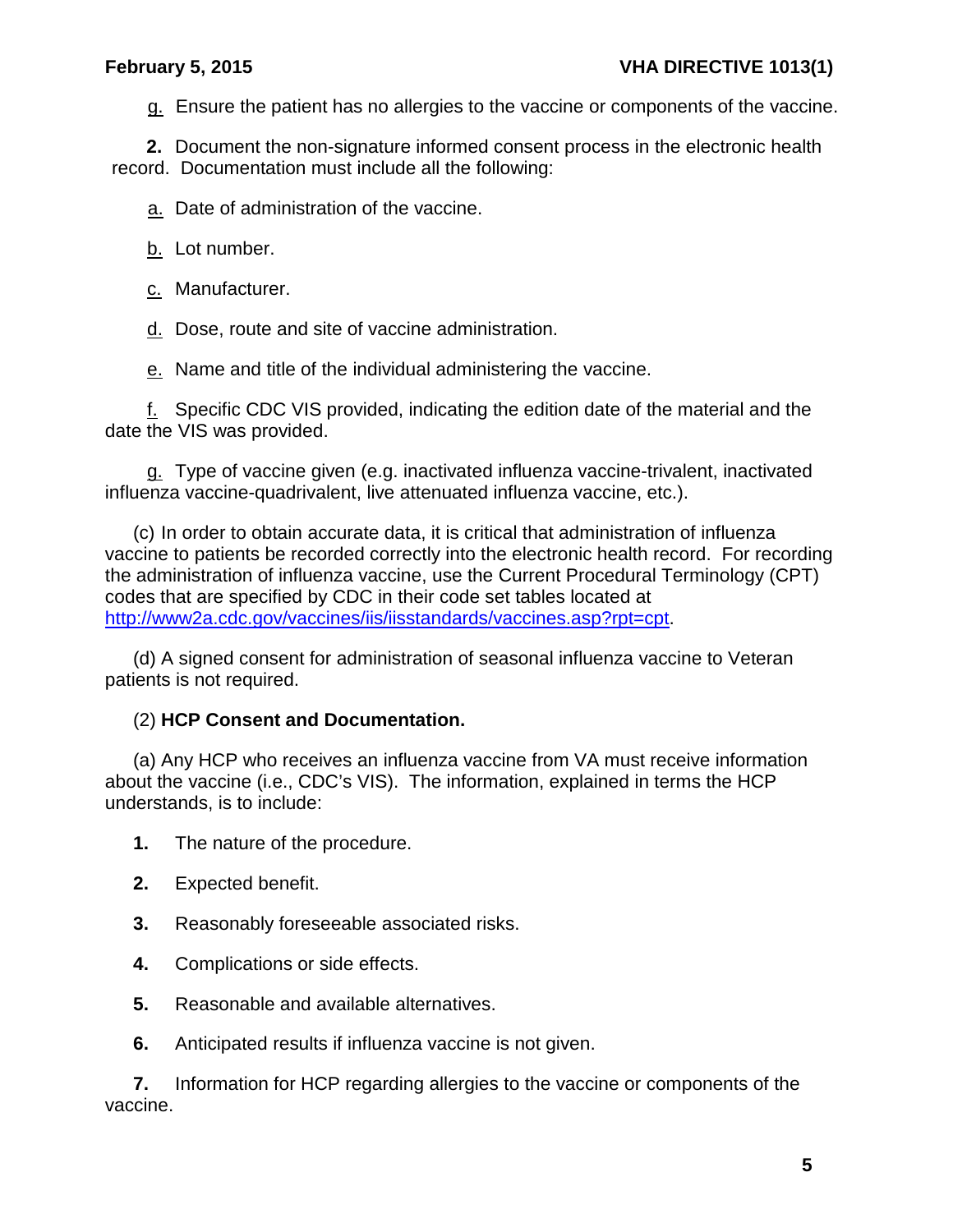g. Ensure the patient has no allergies to the vaccine or components of the vaccine.

**2.** Document the non-signature informed consent process in the electronic health record. Documentation must include all the following:

a. Date of administration of the vaccine.

- b. Lot number.
- c. Manufacturer.

d. Dose, route and site of vaccine administration.

e. Name and title of the individual administering the vaccine.

f. Specific CDC VIS provided, indicating the edition date of the material and the date the VIS was provided.

g. Type of vaccine given (e.g. inactivated influenza vaccine-trivalent, inactivated influenza vaccine-quadrivalent, live attenuated influenza vaccine, etc.).

(c) In order to obtain accurate data, it is critical that administration of influenza vaccine to patients be recorded correctly into the electronic health record. For recording the administration of influenza vaccine, use the Current Procedural Terminology (CPT) codes that are specified by CDC in their code set tables located at [http://www2a.cdc.gov/vaccines/iis/iisstandards/vaccines.asp?rpt=cpt.](http://www2a.cdc.gov/vaccines/iis/iisstandards/vaccines.asp?rpt=cpt)

(d) A signed consent for administration of seasonal influenza vaccine to Veteran patients is not required.

# (2) **HCP Consent and Documentation.**

(a) Any HCP who receives an influenza vaccine from VA must receive information about the vaccine (i.e., CDC's VIS). The information, explained in terms the HCP understands, is to include:

**1.** The nature of the procedure.

- **2.** Expected benefit.
- **3.** Reasonably foreseeable associated risks.
- **4.** Complications or side effects.
- **5.** Reasonable and available alternatives.
- **6.** Anticipated results if influenza vaccine is not given.

**7.** Information for HCP regarding allergies to the vaccine or components of the vaccine.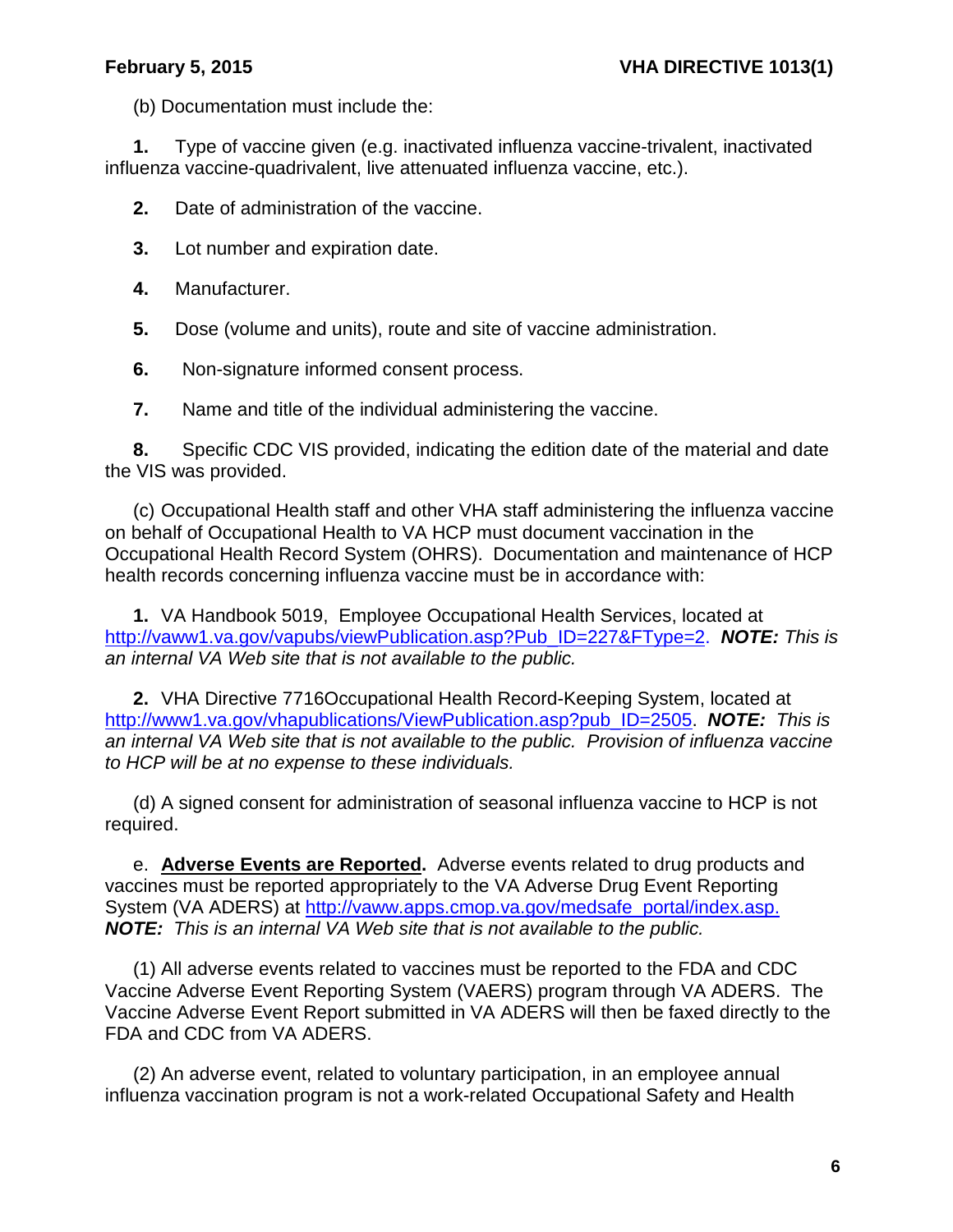(b) Documentation must include the:

**1.** Type of vaccine given (e.g. inactivated influenza vaccine-trivalent, inactivated influenza vaccine-quadrivalent, live attenuated influenza vaccine, etc.).

**2.** Date of administration of the vaccine.

- **3.** Lot number and expiration date.
- **4.** Manufacturer.
- **5.** Dose (volume and units), route and site of vaccine administration.
- **6.** Non-signature informed consent process.

**7.** Name and title of the individual administering the vaccine.

**8.** Specific CDC VIS provided, indicating the edition date of the material and date the VIS was provided.

(c) Occupational Health staff and other VHA staff administering the influenza vaccine on behalf of Occupational Health to VA HCP must document vaccination in the Occupational Health Record System (OHRS). Documentation and maintenance of HCP health records concerning influenza vaccine must be in accordance with:

**1.** VA Handbook 5019, Employee Occupational Health Services, located at [http://vaww1.va.gov/vapubs/viewPublication.asp?Pub\\_ID=227&FType=2.](http://vaww1.va.gov/vapubs/viewPublication.asp?Pub_ID=227&FType=2) *NOTE: This is an internal VA Web site that is not available to the public.*

**2.** VHA Directive 7716Occupational Health Record-Keeping System, located at [http://www1.va.gov/vhapublications/ViewPublication.asp?pub\\_ID=2505.](http://www1.va.gov/vhapublications/ViewPublication.asp?pub_ID=2505) *NOTE: This is an internal VA Web site that is not available to the public. Provision of influenza vaccine to HCP will be at no expense to these individuals.*

(d) A signed consent for administration of seasonal influenza vaccine to HCP is not required.

e. **Adverse Events are Reported.** Adverse events related to drug products and vaccines must be reported appropriately to the VA Adverse Drug Event Reporting System (VA ADERS) at [http://vaww.apps.cmop.va.gov/medsafe\\_portal/index.asp.](http://vaww.apps.cmop.va.gov/medsafe_portal/index.asp) *NOTE: This is an internal VA Web site that is not available to the public.*

(1) All adverse events related to vaccines must be reported to the FDA and CDC Vaccine Adverse Event Reporting System (VAERS) program through VA ADERS. The Vaccine Adverse Event Report submitted in VA ADERS will then be faxed directly to the FDA and CDC from VA ADERS.

(2) An adverse event, related to voluntary participation, in an employee annual influenza vaccination program is not a work-related Occupational Safety and Health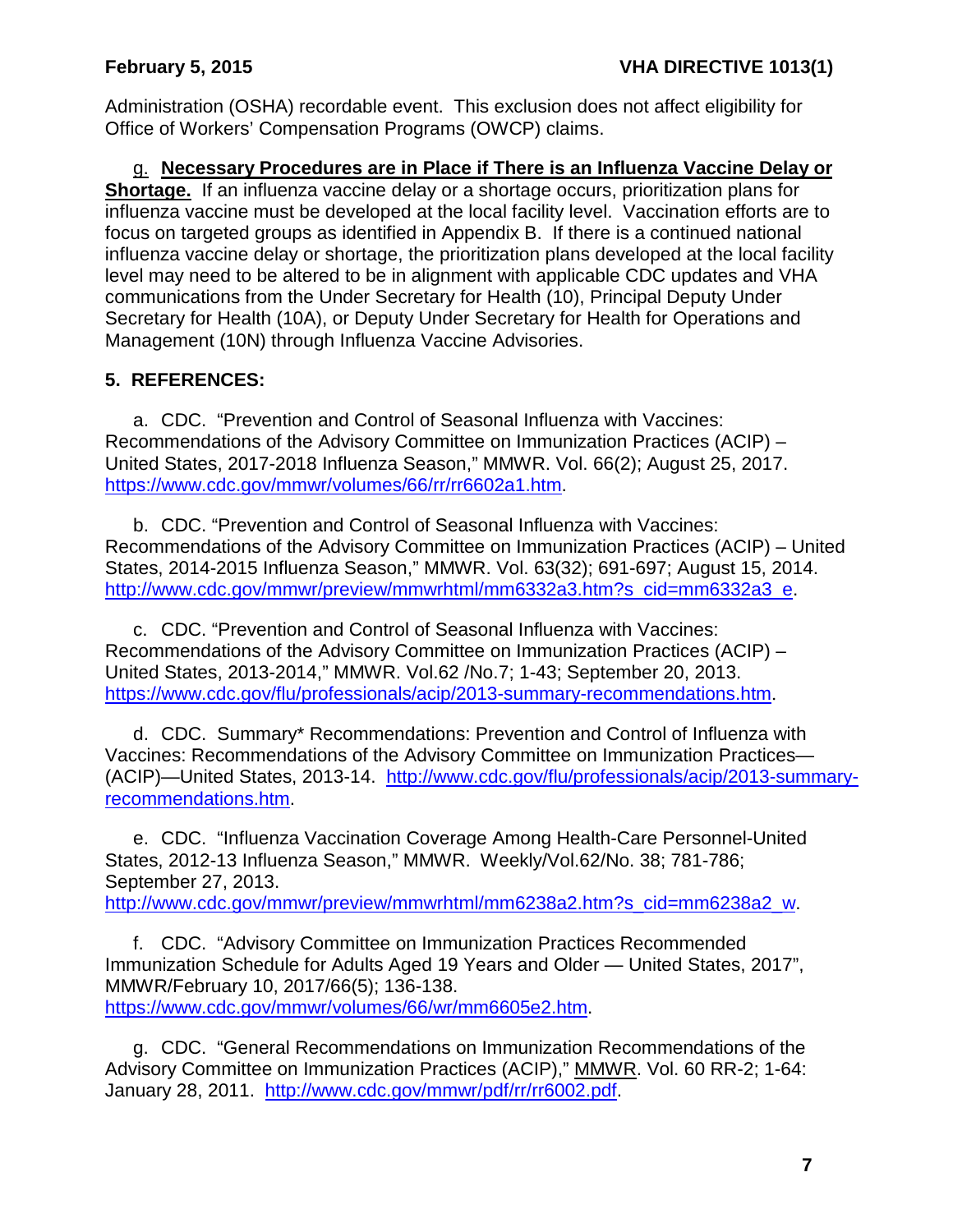Administration (OSHA) recordable event. This exclusion does not affect eligibility for Office of Workers' Compensation Programs (OWCP) claims.

g. **Necessary Procedures are in Place if There is an Influenza Vaccine Delay or Shortage.** If an influenza vaccine delay or a shortage occurs, prioritization plans for influenza vaccine must be developed at the local facility level. Vaccination efforts are to focus on targeted groups as identified in Appendix B. If there is a continued national influenza vaccine delay or shortage, the prioritization plans developed at the local facility level may need to be altered to be in alignment with applicable CDC updates and VHA communications from the Under Secretary for Health (10), Principal Deputy Under Secretary for Health (10A), or Deputy Under Secretary for Health for Operations and Management (10N) through Influenza Vaccine Advisories.

# <span id="page-8-0"></span>**5. REFERENCES:**

a. CDC. "Prevention and Control of Seasonal Influenza with Vaccines: Recommendations of the Advisory Committee on Immunization Practices (ACIP) – United States, 2017-2018 Influenza Season," MMWR. Vol. 66(2); August 25, 2017. [https://www.cdc.gov/mmwr/volumes/66/rr/rr6602a1.htm.](https://www.cdc.gov/mmwr/volumes/66/rr/rr6602a1.htm)

b. CDC. "Prevention and Control of Seasonal Influenza with Vaccines: Recommendations of the Advisory Committee on Immunization Practices (ACIP) – United States, 2014-2015 Influenza Season," MMWR. Vol. 63(32); 691-697; August 15, 2014. [http://www.cdc.gov/mmwr/preview/mmwrhtml/mm6332a3.htm?s\\_cid=mm6332a3\\_e.](http://www.cdc.gov/mmwr/preview/mmwrhtml/mm6332a3.htm?s_cid=mm6332a3_e)

c. CDC. "Prevention and Control of Seasonal Influenza with Vaccines: Recommendations of the Advisory Committee on Immunization Practices (ACIP) – United States, 2013-2014," MMWR. Vol.62 /No.7; 1-43; September 20, 2013. <https://www.cdc.gov/flu/professionals/acip/2013-summary-recommendations.htm>.

d. CDC. Summary\* Recommendations: Prevention and Control of Influenza with Vaccines: Recommendations of the Advisory Committee on Immunization Practices— (ACIP)—United States, 2013-14. [http://www.cdc.gov/flu/professionals/acip/2013-summary](http://www.cdc.gov/flu/professionals/acip/2013-summary-recommendations.htm)[recommendations.htm.](http://www.cdc.gov/flu/professionals/acip/2013-summary-recommendations.htm)

e. CDC. "Influenza Vaccination Coverage Among Health-Care Personnel-United States, 2012-13 Influenza Season," MMWR. Weekly/Vol.62/No. 38; 781-786; September 27, 2013.

[http://www.cdc.gov/mmwr/preview/mmwrhtml/mm6238a2.htm?s\\_cid=mm6238a2\\_w.](http://www.cdc.gov/mmwr/preview/mmwrhtml/mm6238a2.htm?s_cid=mm6238a2_w)

f. CDC. "Advisory Committee on Immunization Practices Recommended Immunization Schedule for Adults Aged 19 Years and Older — United States, 2017", MMWR/February 10, 2017/66(5); 136-138. [https://www.cdc.gov/mmwr/volumes/66/wr/mm6605e2.htm.](https://www.cdc.gov/mmwr/volumes/66/wr/mm6605e2.htm)

g. CDC. "General Recommendations on Immunization Recommendations of the Advisory Committee on Immunization Practices (ACIP)," MMWR. Vol. 60 RR-2; 1-64: January 28, 2011. [http://www.cdc.gov/mmwr/pdf/rr/rr6002.pdf.](http://www.cdc.gov/mmwr/pdf/rr/rr6002.pdf)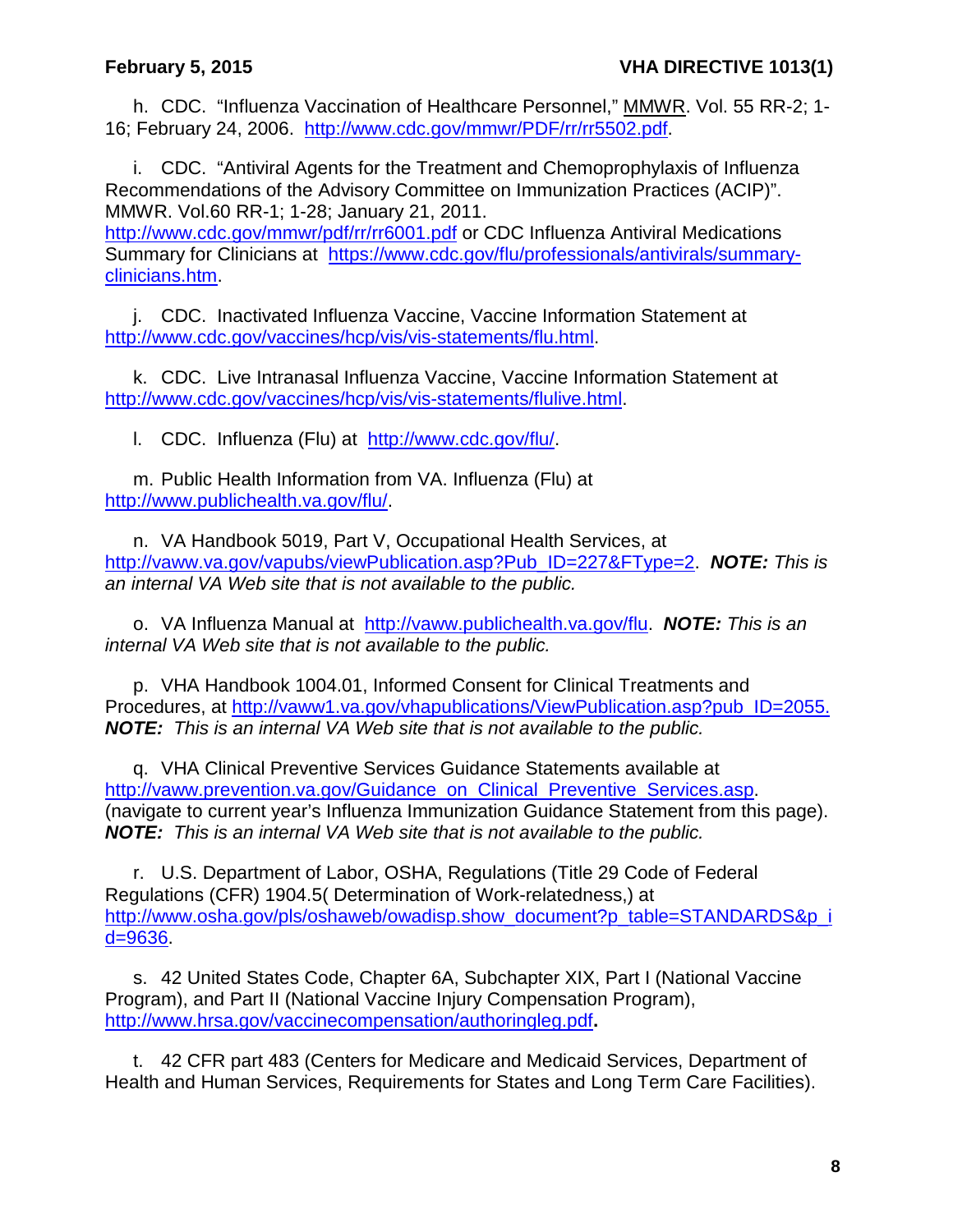h. CDC. "Influenza Vaccination of Healthcare Personnel," MMWR. Vol. 55 RR-2; 1- 16; February 24, 2006. [http://www.cdc.gov/mmwr/PDF/rr/rr5502.pdf.](http://www.cdc.gov/mmwr/PDF/rr/rr5502.pdf)

i. CDC. "Antiviral Agents for the Treatment and Chemoprophylaxis of Influenza Recommendations of the Advisory Committee on Immunization Practices (ACIP)". MMWR. Vol.60 RR-1; 1-28; January 21, 2011.

<http://www.cdc.gov/mmwr/pdf/rr/rr6001.pdf> or CDC Influenza Antiviral Medications Summary for Clinicians at [https://www.cdc.gov/flu/professionals/antivirals/summary](https://www.cdc.gov/flu/professionals/antivirals/summary-clinicians.htm)[clinicians.htm.](https://www.cdc.gov/flu/professionals/antivirals/summary-clinicians.htm)

j. CDC. Inactivated Influenza Vaccine, Vaccine Information Statement at [http://www.cdc.gov/vaccines/hcp/vis/vis-statements/flu.html.](http://www.cdc.gov/vaccines/hcp/vis/vis-statements/flu.html)

k. CDC. Live Intranasal Influenza Vaccine, Vaccine Information Statement at [http://www.cdc.gov/vaccines/hcp/vis/vis-statements/flulive.html.](http://www.cdc.gov/vaccines/hcp/vis/vis-statements/flulive.html)

l. CDC. Influenza (Flu) at [http://www.cdc.gov/flu/.](http://www.cdc.gov/flu/)

m. Public Health Information from VA. Influenza (Flu) at [http://www.publichealth.va.gov/flu/.](http://www.publichealth.va.gov/flu/)

n. VA Handbook 5019, Part V, Occupational Health Services, at [http://vaww.va.gov/vapubs/viewPublication.asp?Pub\\_ID=227&FType=2.](http://vaww.va.gov/vapubs/viewPublication.asp?Pub_ID=227&FType=2) *NOTE: This is an internal VA Web site that is not available to the public.*

o. VA Influenza Manual at [http://vaww.publichealth.va.gov/flu.](http://vaww.publichealth.va.gov/flu) *NOTE: This is an internal VA Web site that is not available to the public.*

p. VHA Handbook 1004.01, Informed Consent for Clinical Treatments and Procedures, at [http://vaww1.va.gov/vhapublications/ViewPublication.asp?pub\\_ID=2055.](http://vaww1.va.gov/vhapublications/ViewPublication.asp?pub_ID=2055) *NOTE: This is an internal VA Web site that is not available to the public.* 

q. VHA Clinical Preventive Services Guidance Statements available at [http://vaww.prevention.va.gov/Guidance\\_on\\_Clinical\\_Preventive\\_Services.asp.](http://vaww.prevention.va.gov/Guidance_on_Clinical_Preventive_Services.asp) (navigate to current year's Influenza Immunization Guidance Statement from this page). *NOTE: This is an internal VA Web site that is not available to the public.*

r. U.S. Department of Labor, OSHA, Regulations (Title 29 Code of Federal Regulations (CFR) 1904.5( Determination of Work-relatedness,) at [http://www.osha.gov/pls/oshaweb/owadisp.show\\_document?p\\_table=STANDARDS&p\\_i](http://www.osha.gov/pls/oshaweb/owadisp.show_document?p_table=STANDARDS&p_id=9636) [d=9636.](http://www.osha.gov/pls/oshaweb/owadisp.show_document?p_table=STANDARDS&p_id=9636)

s. 42 United States Code, Chapter 6A, Subchapter XIX, Part I (National Vaccine Program), and Part II (National Vaccine Injury Compensation Program), <http://www.hrsa.gov/vaccinecompensation/authoringleg.pdf>**.**

t. 42 CFR part 483 (Centers for Medicare and Medicaid Services, Department of Health and Human Services, Requirements for States and Long Term Care Facilities).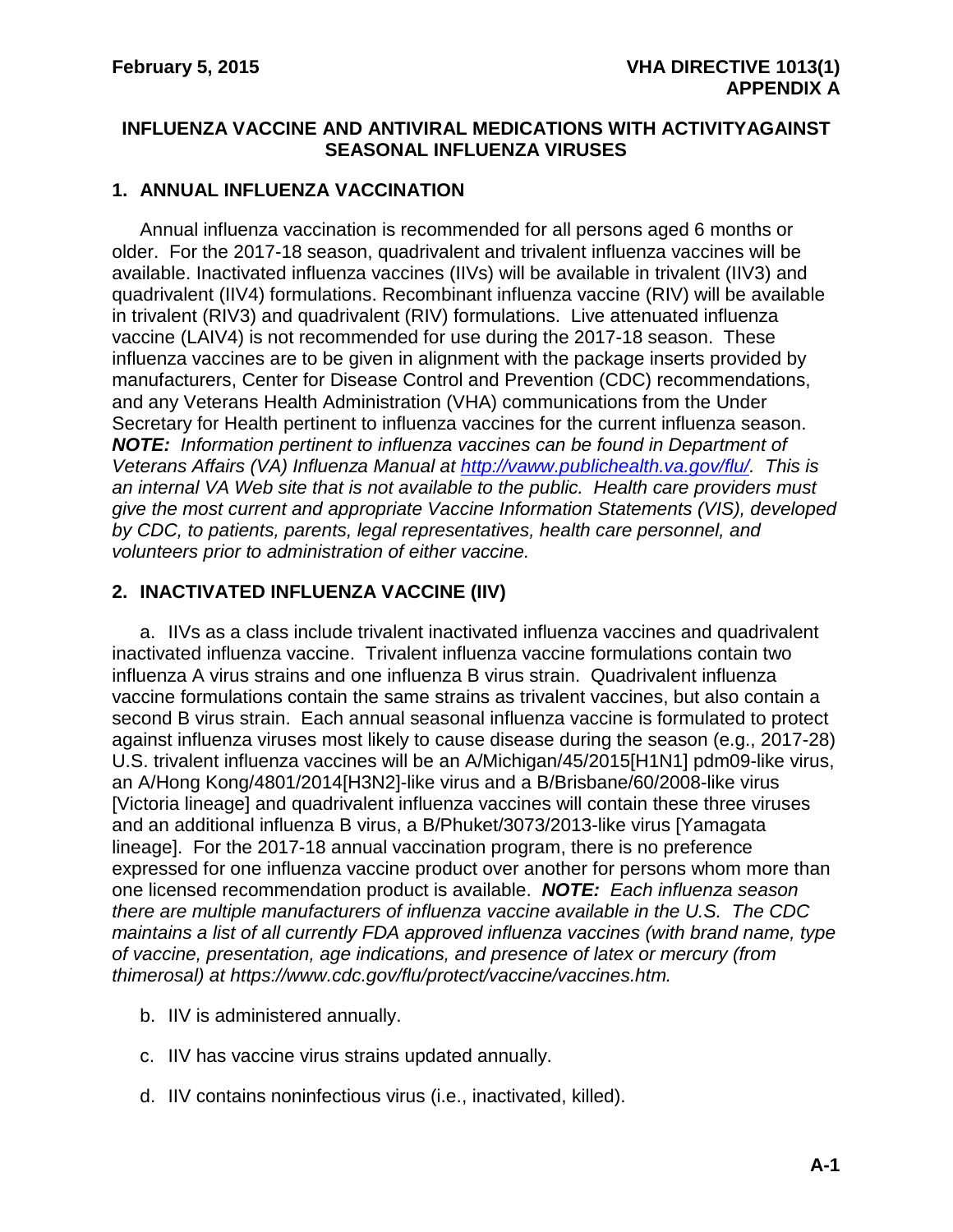### <span id="page-10-1"></span><span id="page-10-0"></span>**INFLUENZA VACCINE AND ANTIVIRAL MEDICATIONS WITH ACTIVITYAGAINST SEASONAL INFLUENZA VIRUSES**

### **1. ANNUAL INFLUENZA VACCINATION**

Annual influenza vaccination is recommended for all persons aged 6 months or older. For the 2017-18 season, quadrivalent and trivalent influenza vaccines will be available. Inactivated influenza vaccines (IIVs) will be available in trivalent (IIV3) and quadrivalent (IIV4) formulations. Recombinant influenza vaccine (RIV) will be available in trivalent (RIV3) and quadrivalent (RIV) formulations. Live attenuated influenza vaccine (LAIV4) is not recommended for use during the 2017-18 season. These influenza vaccines are to be given in alignment with the package inserts provided by manufacturers, Center for Disease Control and Prevention (CDC) recommendations, and any Veterans Health Administration (VHA) communications from the Under Secretary for Health pertinent to influenza vaccines for the current influenza season. *NOTE: Information pertinent to influenza vaccines can be found in Department of Veterans Affairs (VA) Influenza Manual at [http://vaww.publichealth.va.gov/flu/.](http://vaww.publichealth.va.gov/flu/) This is an internal VA Web site that is not available to the public. Health care providers must give the most current and appropriate Vaccine Information Statements (VIS), developed by CDC, to patients, parents, legal representatives, health care personnel, and volunteers prior to administration of either vaccine.* 

### **2. INACTIVATED INFLUENZA VACCINE (IIV)**

a. IIVs as a class include trivalent inactivated influenza vaccines and quadrivalent inactivated influenza vaccine. Trivalent influenza vaccine formulations contain two influenza A virus strains and one influenza B virus strain. Quadrivalent influenza vaccine formulations contain the same strains as trivalent vaccines, but also contain a second B virus strain. Each annual seasonal influenza vaccine is formulated to protect against influenza viruses most likely to cause disease during the season (e.g., 2017-28) U.S. trivalent influenza vaccines will be an A/Michigan/45/2015[H1N1] pdm09-like virus, an A/Hong Kong/4801/2014[H3N2]-like virus and a B/Brisbane/60/2008-like virus [Victoria lineage] and quadrivalent influenza vaccines will contain these three viruses and an additional influenza B virus, a B/Phuket/3073/2013-like virus [Yamagata lineage]. For the 2017-18 annual vaccination program, there is no preference expressed for one influenza vaccine product over another for persons whom more than one licensed recommendation product is available. *NOTE: Each influenza season there are multiple manufacturers of influenza vaccine available in the U.S. The CDC maintains a list of all currently FDA approved influenza vaccines (with brand name, type of vaccine, presentation, age indications, and presence of latex or mercury (from thimerosal) at https://www.cdc.gov/flu/protect/vaccine/vaccines.htm.*

- b. IIV is administered annually.
- c. IIV has vaccine virus strains updated annually.
- d. IIV contains noninfectious virus (i.e., inactivated, killed).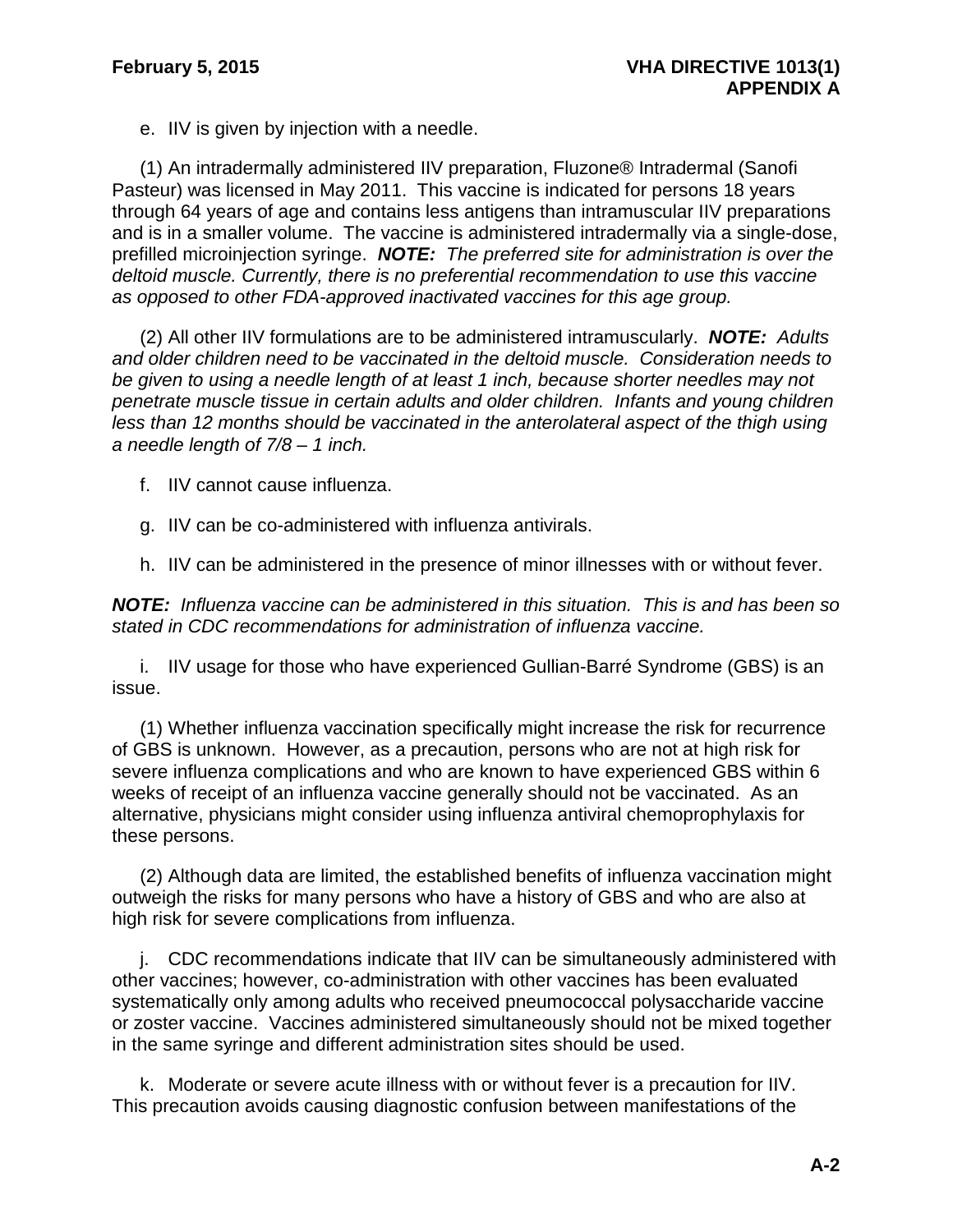e. IIV is given by injection with a needle.

(1) An intradermally administered IIV preparation, Fluzone® Intradermal (Sanofi Pasteur) was licensed in May 2011. This vaccine is indicated for persons 18 years through 64 years of age and contains less antigens than intramuscular IIV preparations and is in a smaller volume. The vaccine is administered intradermally via a single-dose, prefilled microinjection syringe. *NOTE: The preferred site for administration is over the deltoid muscle. Currently, there is no preferential recommendation to use this vaccine as opposed to other FDA-approved inactivated vaccines for this age group.*

(2) All other IIV formulations are to be administered intramuscularly. *NOTE: Adults and older children need to be vaccinated in the deltoid muscle. Consideration needs to be given to using a needle length of at least 1 inch, because shorter needles may not penetrate muscle tissue in certain adults and older children. Infants and young children*  less than 12 months should be vaccinated in the anterolateral aspect of the thigh using *a needle length of 7/8 – 1 inch.*

f. IIV cannot cause influenza.

g. IIV can be co-administered with influenza antivirals.

h. IIV can be administered in the presence of minor illnesses with or without fever.

*NOTE: Influenza vaccine can be administered in this situation. This is and has been so stated in CDC recommendations for administration of influenza vaccine.*

i. IIV usage for those who have experienced Gullian-Barré Syndrome (GBS) is an issue.

(1) Whether influenza vaccination specifically might increase the risk for recurrence of GBS is unknown. However, as a precaution, persons who are not at high risk for severe influenza complications and who are known to have experienced GBS within 6 weeks of receipt of an influenza vaccine generally should not be vaccinated. As an alternative, physicians might consider using influenza antiviral chemoprophylaxis for these persons.

(2) Although data are limited, the established benefits of influenza vaccination might outweigh the risks for many persons who have a history of GBS and who are also at high risk for severe complications from influenza.

j. CDC recommendations indicate that IIV can be simultaneously administered with other vaccines; however, co-administration with other vaccines has been evaluated systematically only among adults who received pneumococcal polysaccharide vaccine or zoster vaccine. Vaccines administered simultaneously should not be mixed together in the same syringe and different administration sites should be used.

k. Moderate or severe acute illness with or without fever is a precaution for IIV. This precaution avoids causing diagnostic confusion between manifestations of the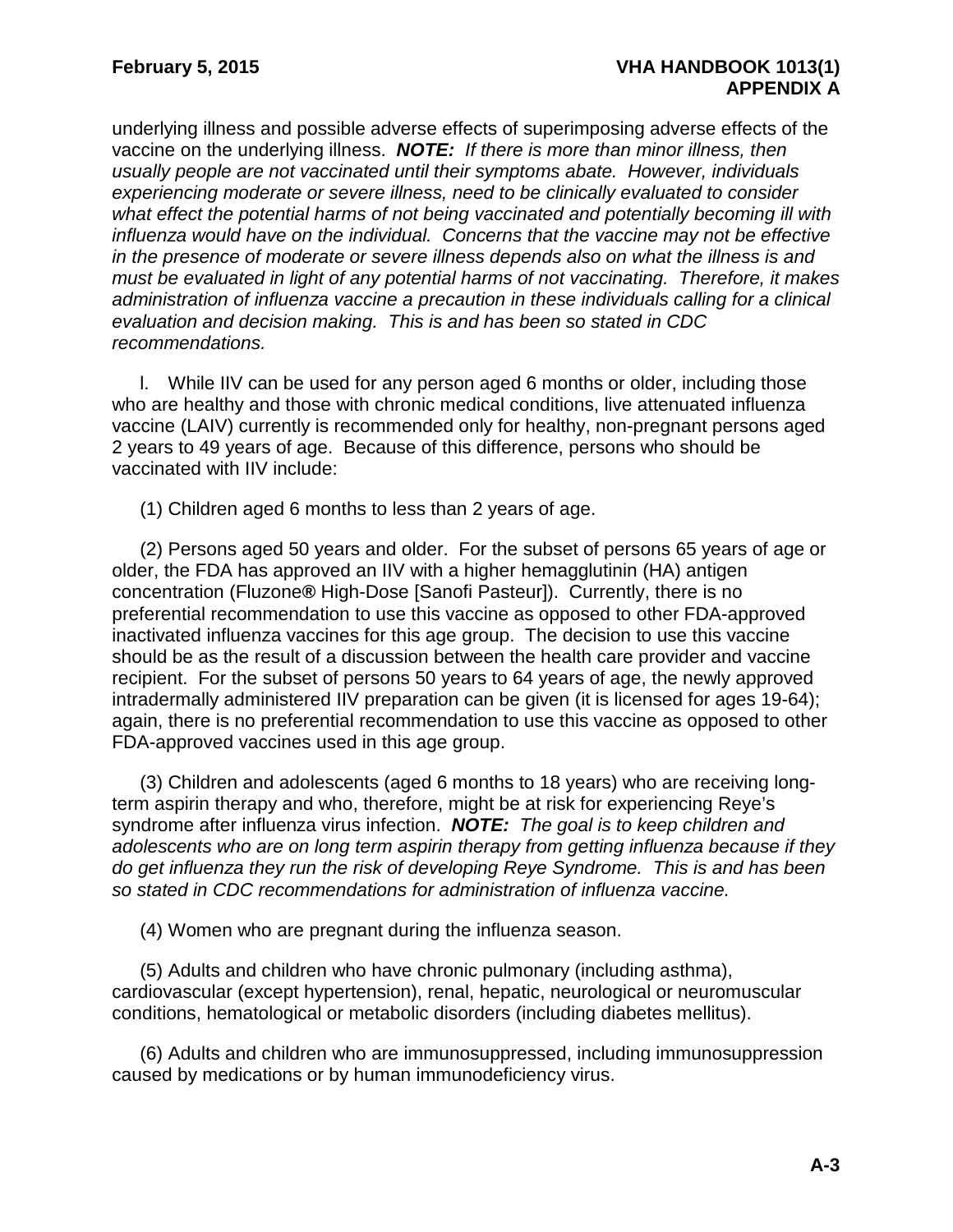underlying illness and possible adverse effects of superimposing adverse effects of the vaccine on the underlying illness. *NOTE: If there is more than minor illness, then usually people are not vaccinated until their symptoms abate. However, individuals experiencing moderate or severe illness, need to be clinically evaluated to consider what effect the potential harms of not being vaccinated and potentially becoming ill with influenza would have on the individual. Concerns that the vaccine may not be effective in the presence of moderate or severe illness depends also on what the illness is and must be evaluated in light of any potential harms of not vaccinating. Therefore, it makes administration of influenza vaccine a precaution in these individuals calling for a clinical evaluation and decision making. This is and has been so stated in CDC recommendations.*

l. While IIV can be used for any person aged 6 months or older, including those who are healthy and those with chronic medical conditions, live attenuated influenza vaccine (LAIV) currently is recommended only for healthy, non-pregnant persons aged 2 years to 49 years of age. Because of this difference, persons who should be vaccinated with IIV include:

(1) Children aged 6 months to less than 2 years of age.

(2) Persons aged 50 years and older. For the subset of persons 65 years of age or older, the FDA has approved an IIV with a higher hemagglutinin (HA) antigen concentration (Fluzone*®* High-Dose [Sanofi Pasteur]). Currently, there is no preferential recommendation to use this vaccine as opposed to other FDA-approved inactivated influenza vaccines for this age group. The decision to use this vaccine should be as the result of a discussion between the health care provider and vaccine recipient. For the subset of persons 50 years to 64 years of age, the newly approved intradermally administered IIV preparation can be given (it is licensed for ages 19-64); again, there is no preferential recommendation to use this vaccine as opposed to other FDA-approved vaccines used in this age group.

(3) Children and adolescents (aged 6 months to 18 years) who are receiving longterm aspirin therapy and who, therefore, might be at risk for experiencing Reye's syndrome after influenza virus infection. *NOTE: The goal is to keep children and adolescents who are on long term aspirin therapy from getting influenza because if they do get influenza they run the risk of developing Reye Syndrome. This is and has been so stated in CDC recommendations for administration of influenza vaccine.*

(4) Women who are pregnant during the influenza season.

(5) Adults and children who have chronic pulmonary (including asthma), cardiovascular (except hypertension), renal, hepatic, neurological or neuromuscular conditions, hematological or metabolic disorders (including diabetes mellitus).

(6) Adults and children who are immunosuppressed, including immunosuppression caused by medications or by human immunodeficiency virus.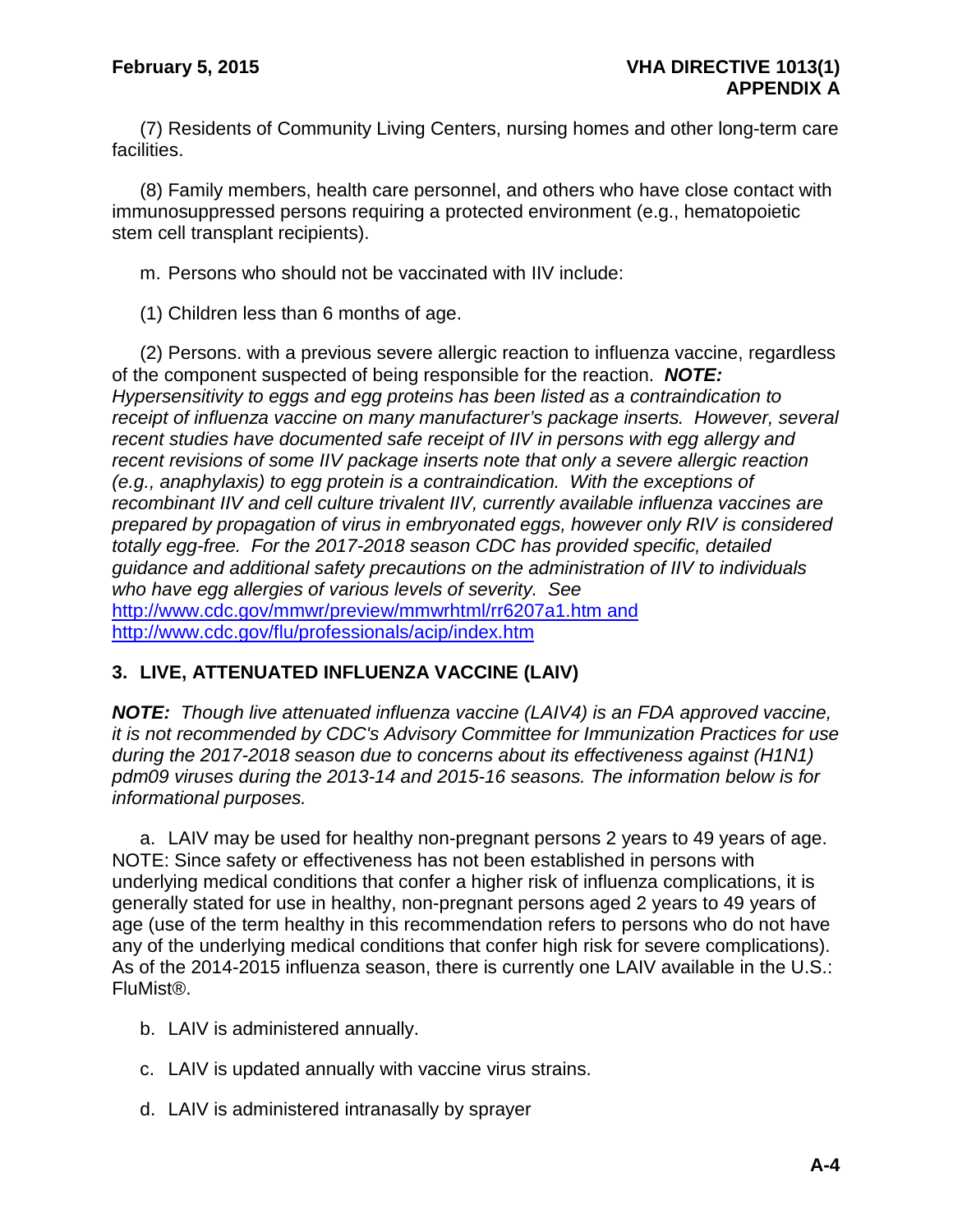(7) Residents of Community Living Centers, nursing homes and other long-term care facilities.

(8) Family members, health care personnel, and others who have close contact with immunosuppressed persons requiring a protected environment (e.g., hematopoietic stem cell transplant recipients).

m. Persons who should not be vaccinated with IIV include:

(1) Children less than 6 months of age.

(2) Persons. with a previous severe allergic reaction to influenza vaccine, regardless of the component suspected of being responsible for the reaction. *NOTE: Hypersensitivity to eggs and egg proteins has been listed as a contraindication to receipt of influenza vaccine on many manufacturer's package inserts. However, several recent studies have documented safe receipt of IIV in persons with egg allergy and recent revisions of some IIV package inserts note that only a severe allergic reaction (e.g., anaphylaxis) to egg protein is a contraindication. With the exceptions of recombinant IIV and cell culture trivalent IIV, currently available influenza vaccines are prepared by propagation of virus in embryonated eggs, however only RIV is considered totally egg-free. For the 2017-2018 season CDC has provided specific, detailed guidance and additional safety precautions on the administration of IIV to individuals who have egg allergies of various levels of severity. See* <http://www.cdc.gov/mmwr/preview/mmwrhtml/rr6207a1.htm> and <http://www.cdc.gov/flu/professionals/acip/index.htm>

### **3. LIVE, ATTENUATED INFLUENZA VACCINE (LAIV)**

*NOTE: Though live attenuated influenza vaccine (LAIV4) is an FDA approved vaccine, it is not recommended by CDC's Advisory Committee for Immunization Practices for use during the 2017-2018 season due to concerns about its effectiveness against (H1N1) pdm09 viruses during the 2013-14 and 2015-16 seasons. The information below is for informational purposes.*

a. LAIV may be used for healthy non-pregnant persons 2 years to 49 years of age. NOTE: Since safety or effectiveness has not been established in persons with underlying medical conditions that confer a higher risk of influenza complications, it is generally stated for use in healthy, non-pregnant persons aged 2 years to 49 years of age (use of the term healthy in this recommendation refers to persons who do not have any of the underlying medical conditions that confer high risk for severe complications). As of the 2014-2015 influenza season, there is currently one LAIV available in the U.S.: FluMist®.

- b. LAIV is administered annually.
- c. LAIV is updated annually with vaccine virus strains.
- d. LAIV is administered intranasally by sprayer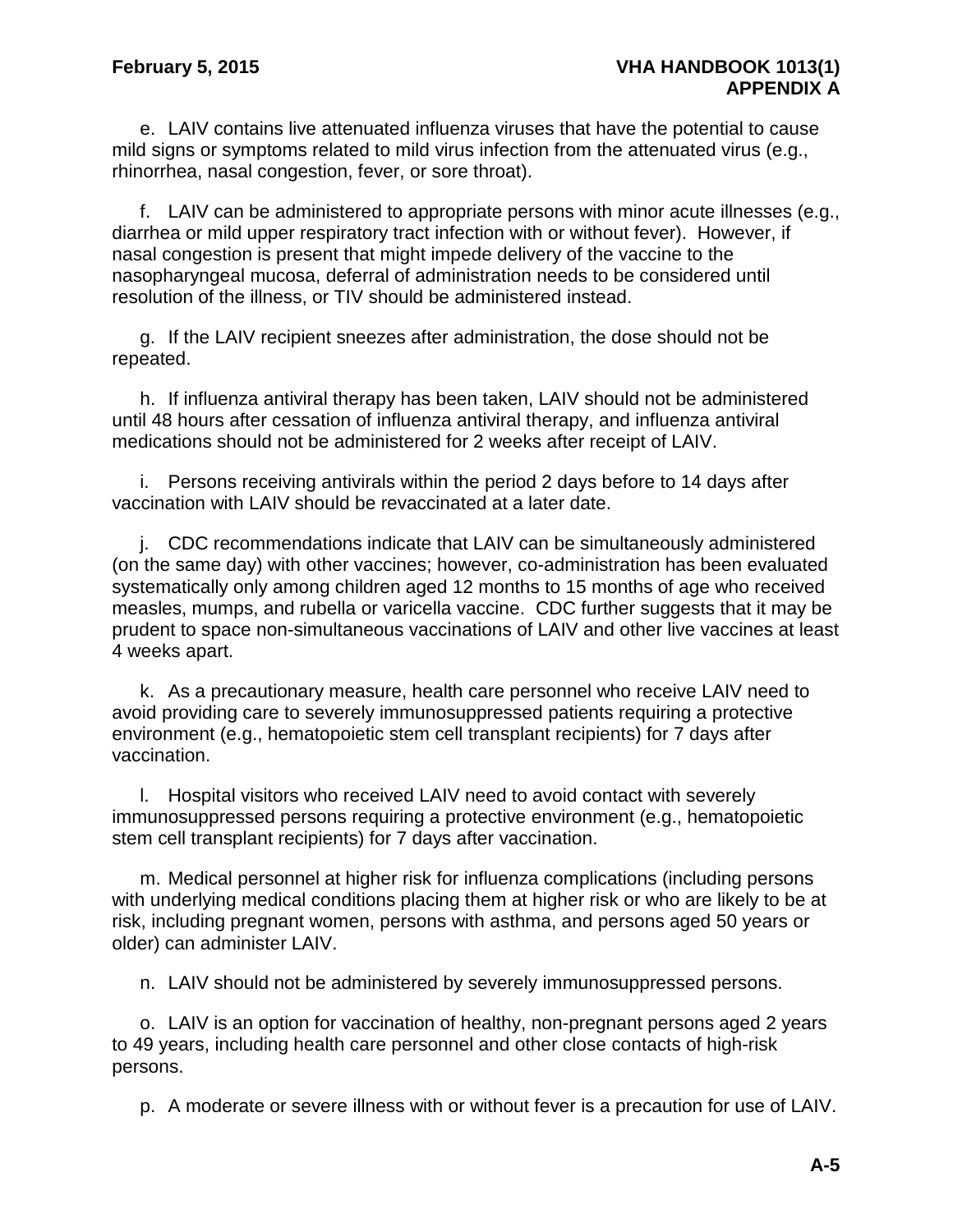e. LAIV contains live attenuated influenza viruses that have the potential to cause mild signs or symptoms related to mild virus infection from the attenuated virus (e.g., rhinorrhea, nasal congestion, fever, or sore throat).

f. LAIV can be administered to appropriate persons with minor acute illnesses (e.g., diarrhea or mild upper respiratory tract infection with or without fever). However, if nasal congestion is present that might impede delivery of the vaccine to the nasopharyngeal mucosa, deferral of administration needs to be considered until resolution of the illness, or TIV should be administered instead.

g. If the LAIV recipient sneezes after administration, the dose should not be repeated.

h. If influenza antiviral therapy has been taken, LAIV should not be administered until 48 hours after cessation of influenza antiviral therapy, and influenza antiviral medications should not be administered for 2 weeks after receipt of LAIV.

i. Persons receiving antivirals within the period 2 days before to 14 days after vaccination with LAIV should be revaccinated at a later date.

j. CDC recommendations indicate that LAIV can be simultaneously administered (on the same day) with other vaccines; however, co-administration has been evaluated systematically only among children aged 12 months to 15 months of age who received measles, mumps, and rubella or varicella vaccine. CDC further suggests that it may be prudent to space non-simultaneous vaccinations of LAIV and other live vaccines at least 4 weeks apart.

k. As a precautionary measure, health care personnel who receive LAIV need to avoid providing care to severely immunosuppressed patients requiring a protective environment (e.g., hematopoietic stem cell transplant recipients) for 7 days after vaccination.

l. Hospital visitors who received LAIV need to avoid contact with severely immunosuppressed persons requiring a protective environment (e.g., hematopoietic stem cell transplant recipients) for 7 days after vaccination.

m. Medical personnel at higher risk for influenza complications (including persons with underlying medical conditions placing them at higher risk or who are likely to be at risk, including pregnant women, persons with asthma, and persons aged 50 years or older) can administer LAIV.

n. LAIV should not be administered by severely immunosuppressed persons.

o. LAIV is an option for vaccination of healthy, non-pregnant persons aged 2 years to 49 years, including health care personnel and other close contacts of high-risk persons.

p. A moderate or severe illness with or without fever is a precaution for use of LAIV.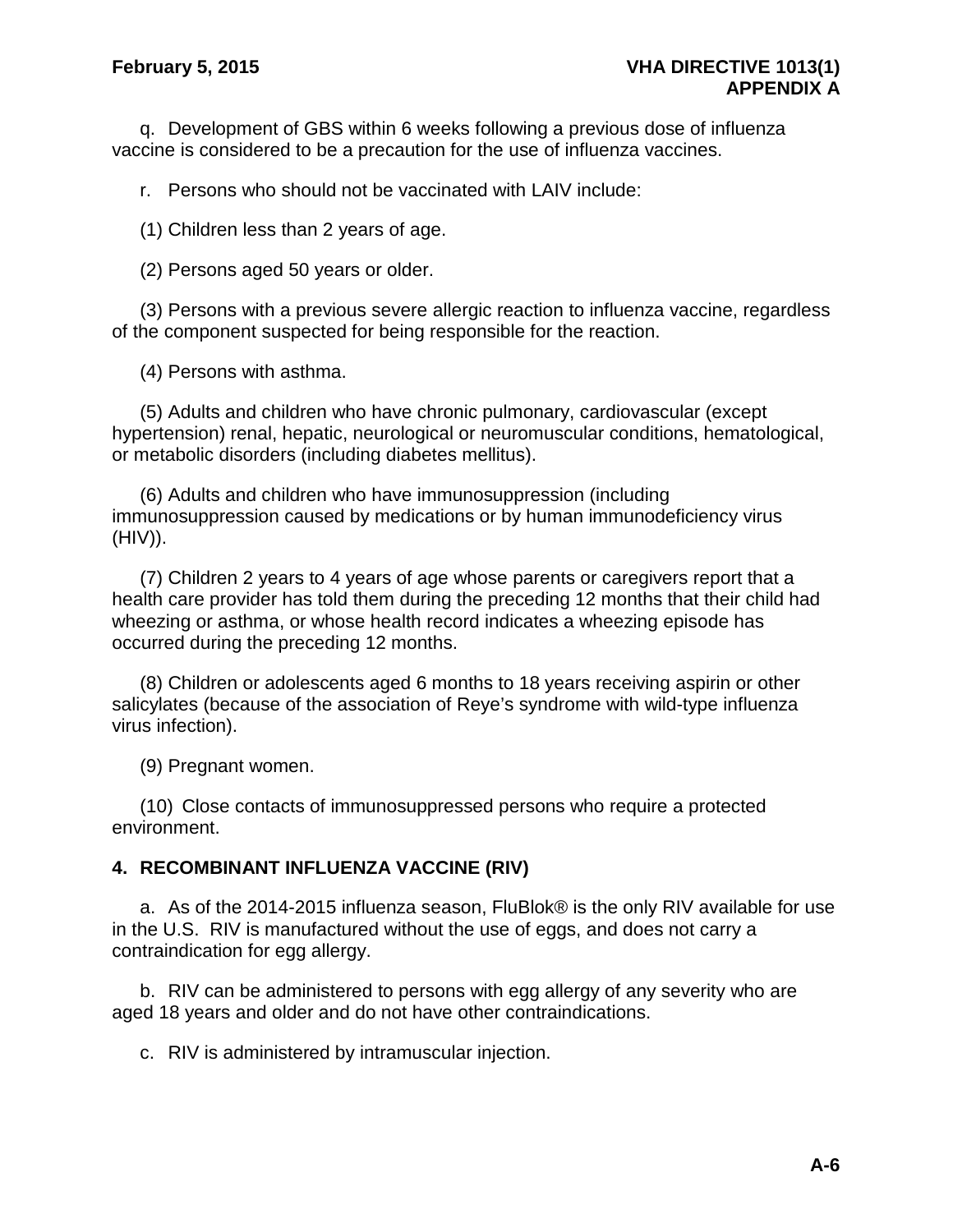q. Development of GBS within 6 weeks following a previous dose of influenza vaccine is considered to be a precaution for the use of influenza vaccines.

r. Persons who should not be vaccinated with LAIV include:

(1) Children less than 2 years of age.

(2) Persons aged 50 years or older.

(3) Persons with a previous severe allergic reaction to influenza vaccine, regardless of the component suspected for being responsible for the reaction.

(4) Persons with asthma.

(5) Adults and children who have chronic pulmonary, cardiovascular (except hypertension) renal, hepatic, neurological or neuromuscular conditions, hematological, or metabolic disorders (including diabetes mellitus).

(6) Adults and children who have immunosuppression (including immunosuppression caused by medications or by human immunodeficiency virus (HIV)).

(7) Children 2 years to 4 years of age whose parents or caregivers report that a health care provider has told them during the preceding 12 months that their child had wheezing or asthma, or whose health record indicates a wheezing episode has occurred during the preceding 12 months.

(8) Children or adolescents aged 6 months to 18 years receiving aspirin or other salicylates (because of the association of Reye's syndrome with wild-type influenza virus infection).

(9) Pregnant women.

(10) Close contacts of immunosuppressed persons who require a protected environment.

### **4. RECOMBINANT INFLUENZA VACCINE (RIV)**

a. As of the 2014-2015 influenza season, FluBlok® is the only RIV available for use in the U.S. RIV is manufactured without the use of eggs, and does not carry a contraindication for egg allergy.

b. RIV can be administered to persons with egg allergy of any severity who are aged 18 years and older and do not have other contraindications.

c. RIV is administered by intramuscular injection.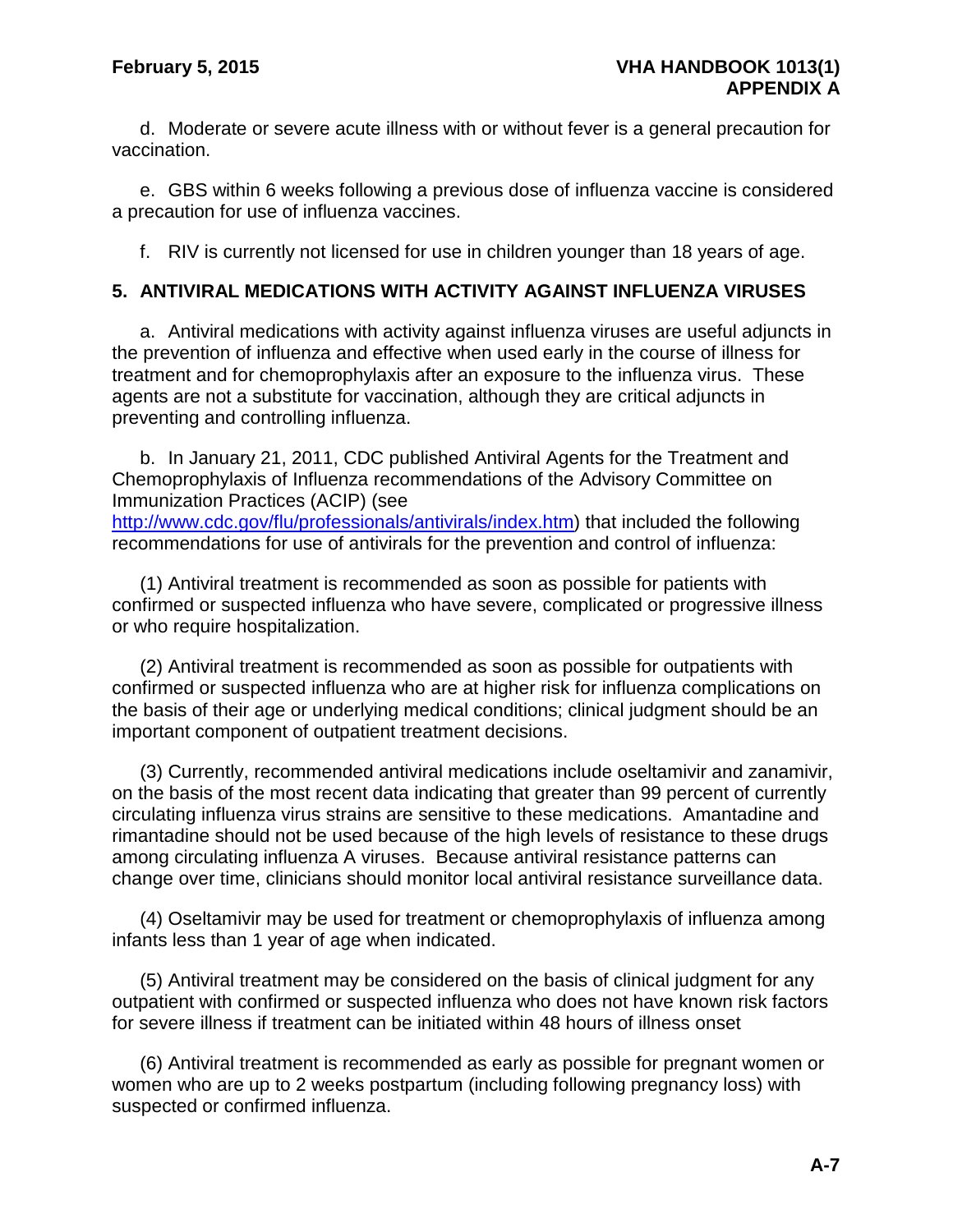d. Moderate or severe acute illness with or without fever is a general precaution for vaccination.

e. GBS within 6 weeks following a previous dose of influenza vaccine is considered a precaution for use of influenza vaccines.

f. RIV is currently not licensed for use in children younger than 18 years of age.

### **5. ANTIVIRAL MEDICATIONS WITH ACTIVITY AGAINST INFLUENZA VIRUSES**

a. Antiviral medications with activity against influenza viruses are useful adjuncts in the prevention of influenza and effective when used early in the course of illness for treatment and for chemoprophylaxis after an exposure to the influenza virus. These agents are not a substitute for vaccination, although they are critical adjuncts in preventing and controlling influenza.

b. In January 21, 2011, CDC published Antiviral Agents for the Treatment and Chemoprophylaxis of Influenza recommendations of the Advisory Committee on Immunization Practices (ACIP) (see [http://www.cdc.gov/flu/professionals/antivirals/index.htm\)](http://www.cdc.gov/flu/professionals/antivirals/index.htm) that included the following recommendations for use of antivirals for the prevention and control of influenza:

(1) Antiviral treatment is recommended as soon as possible for patients with confirmed or suspected influenza who have severe, complicated or progressive illness or who require hospitalization.

(2) Antiviral treatment is recommended as soon as possible for outpatients with confirmed or suspected influenza who are at higher risk for influenza complications on the basis of their age or underlying medical conditions; clinical judgment should be an important component of outpatient treatment decisions.

(3) Currently, recommended antiviral medications include oseltamivir and zanamivir, on the basis of the most recent data indicating that greater than 99 percent of currently circulating influenza virus strains are sensitive to these medications. Amantadine and rimantadine should not be used because of the high levels of resistance to these drugs among circulating influenza A viruses. Because antiviral resistance patterns can change over time, clinicians should monitor local antiviral resistance surveillance data.

(4) Oseltamivir may be used for treatment or chemoprophylaxis of influenza among infants less than 1 year of age when indicated.

(5) Antiviral treatment may be considered on the basis of clinical judgment for any outpatient with confirmed or suspected influenza who does not have known risk factors for severe illness if treatment can be initiated within 48 hours of illness onset

(6) Antiviral treatment is recommended as early as possible for pregnant women or women who are up to 2 weeks postpartum (including following pregnancy loss) with suspected or confirmed influenza.